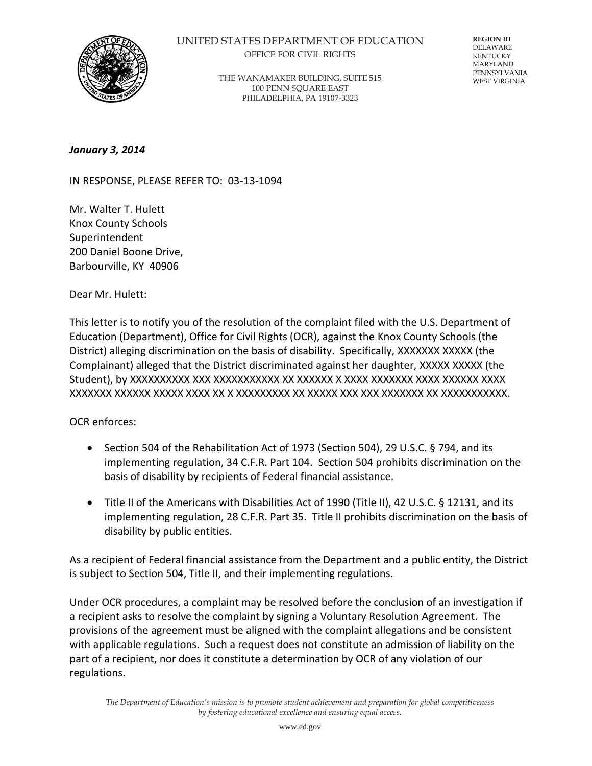

## UNITED STATES DEPARTMENT OF EDUCATION OFFICE FOR CIVIL RIGHTS

THE WANAMAKER BUILDING, SUITE 515 100 PENN SQUARE EAST PHILADELPHIA, PA 19107-3323

**REGION III** DELAWARE KENTUCKY MARYLAND PENNSYLVANIA WEST VIRGINIA

*January 3, 2014* 

IN RESPONSE, PLEASE REFER TO: 03-13-1094

Mr. Walter T. Hulett Knox County Schools Superintendent 200 Daniel Boone Drive, Barbourville, KY 40906

Dear Mr. Hulett:

This letter is to notify you of the resolution of the complaint filed with the U.S. Department of Education (Department), Office for Civil Rights (OCR), against the Knox County Schools (the District) alleging discrimination on the basis of disability. Specifically, XXXXXXX XXXXX (the Complainant) alleged that the District discriminated against her daughter, XXXXX XXXXX (the Student), by XXXXXXXXXX XXX XXXXXXXXXXX XX XXXXXX X XXXX XXXXXXX XXXX XXXXXX XXXX XXXXXXX XXXXXX XXXXX XXXX XX X XXXXXXXXX XX XXXXX XXX XXX XXXXXXX XX XXXXXXXXXXX.

## OCR enforces:

- $\bullet$  Section 504 of the Rehabilitation Act of 1973 (Section 504), 29 U.S.C. § 794, and its implementing regulation, 34 C.F.R. Part 104. Section 504 prohibits discrimination on the basis of disability by recipients of Federal financial assistance.
- Title II of the Americans with Disabilities Act of 1990 (Title II), 42 U.S.C. § 12131, and its implementing regulation, 28 C.F.R. Part 35. Title II prohibits discrimination on the basis of disability by public entities.

As a recipient of Federal financial assistance from the Department and a public entity, the District is subject to Section 504, Title II, and their implementing regulations.

Under OCR procedures, a complaint may be resolved before the conclusion of an investigation if a recipient asks to resolve the complaint by signing a Voluntary Resolution Agreement. The provisions of the agreement must be aligned with the complaint allegations and be consistent with applicable regulations. Such a request does not constitute an admission of liability on the part of a recipient, nor does it constitute a determination by OCR of any violation of our regulations.